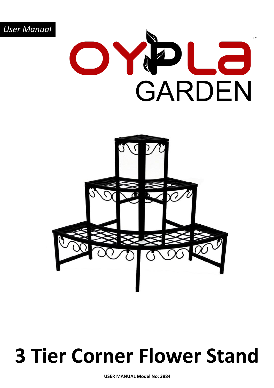

### **3 Tier Corner Flower Stand**

**USER MANUAL Model No: 3884**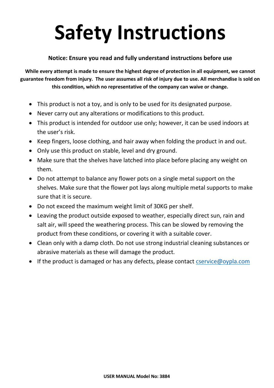# **Safety Instructions**

#### **Notice: Ensure you read and fully understand instructions before use**

**While every attempt is made to ensure the highest degree of protection in all equipment, we cannot guarantee freedom from injury. The user assumes all risk of injury due to use. All merchandise is sold on this condition, which no representative of the company can waive or change.**

- This product is not a toy, and is only to be used for its designated purpose.
- Never carry out any alterations or modifications to this product.
- This product is intended for outdoor use only; however, it can be used indoors at the user's risk.
- Keep fingers, loose clothing, and hair away when folding the product in and out.
- Only use this product on stable, level and dry ground.
- Make sure that the shelves have latched into place before placing any weight on them.
- Do not attempt to balance any flower pots on a single metal support on the shelves. Make sure that the flower pot lays along multiple metal supports to make sure that it is secure.
- Do not exceed the maximum weight limit of 30KG per shelf.
- Leaving the product outside exposed to weather, especially direct sun, rain and salt air, will speed the weathering process. This can be slowed by removing the product from these conditions, or covering it with a suitable cover.
- Clean only with a damp cloth. Do not use strong industrial cleaning substances or abrasive materials as these will damage the product.
- If the product is damaged or has any defects, please contact [cservice@oypla.com](mailto:cservice@oypla.com)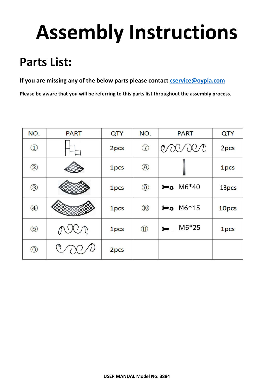## **Assembly Instructions**

#### **Parts List:**

**If you are missing any of the below parts please contact [cservice@oypla.com](mailto:cservice@oypla.com)**

**Please be aware that you will be referring to this parts list throughout the assembly process.**

| NO.                                         | <b>PART</b> | QTY  | NO.            | <b>PART</b>             | QTY              |
|---------------------------------------------|-------------|------|----------------|-------------------------|------------------|
| $\bigcirc$                                  |             | 2pcs | $\circledcirc$ | 000<br>$\mathcal{O}(1)$ | 2 <sub>pcs</sub> |
| $^{\copyright}$                             |             | 1pcs | $\circledS$    |                         | 1 <sub>pcs</sub> |
| $\circledS$                                 |             | 1pcs | $\circledS$    | $\bullet$ M6*40         | 13pcs            |
| $^{\small{\textcircled{\footnotesize{4}}}}$ |             | 1pcs | $\circled{10}$ | $0 - 0$ M6*15           | 10pcs            |
| $\circledS$                                 | AUCI        | 1pcs | $\circled{1}$  | $M6*25$<br>$($ ano      | 1pcs             |
| $\circled6$                                 |             | 2pcs |                |                         |                  |